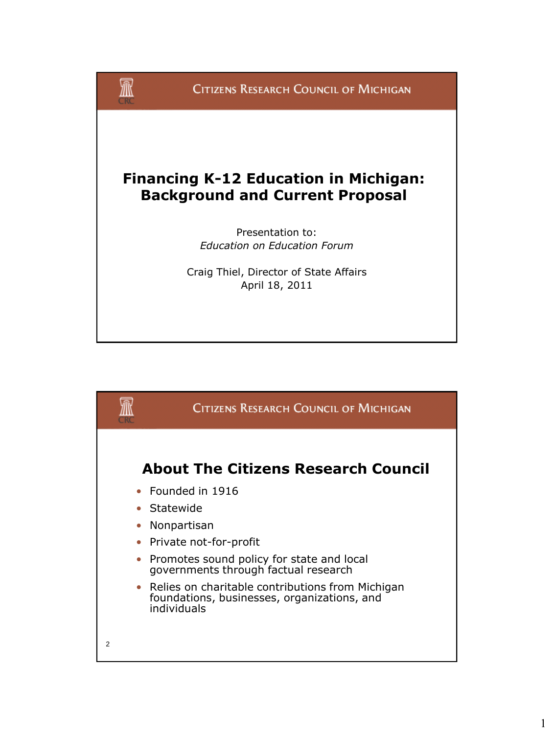

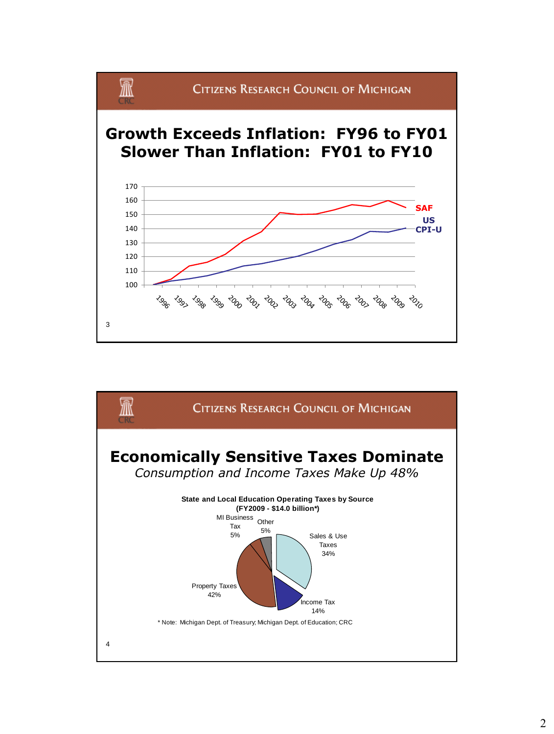

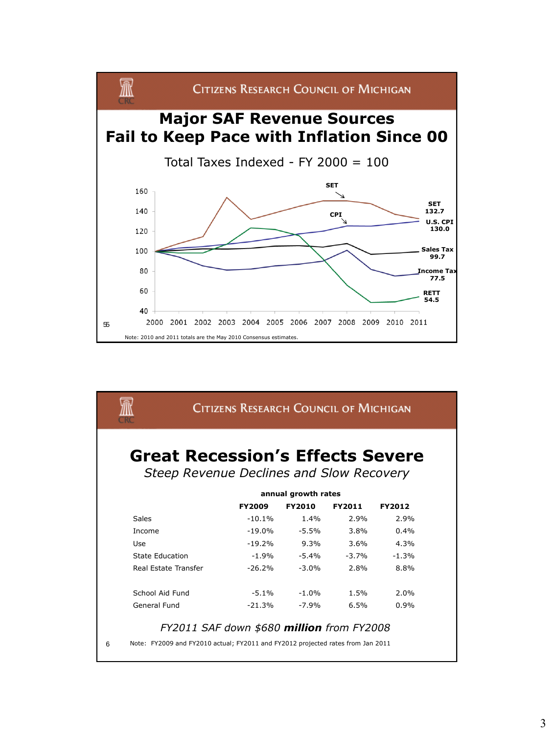

| <b>CITIZENS RESEARCH COUNCIL OF MICHIGAN</b> |               |                     |               |               |  |
|----------------------------------------------|---------------|---------------------|---------------|---------------|--|
| <b>Great Recession's Effects Severe</b>      |               |                     |               |               |  |
| Steep Revenue Declines and Slow Recovery     |               |                     |               |               |  |
|                                              |               | annual growth rates |               |               |  |
|                                              | <b>FY2009</b> | <b>FY2010</b>       | <b>FY2011</b> | <b>FY2012</b> |  |
| <b>Sales</b>                                 | $-10.1%$      | 1.4%                | 2.9%          | 2.9%          |  |
| Income                                       | $-19.0\%$     | $-5.5%$             | 3.8%          | 0.4%          |  |
| Use                                          | $-19.2%$      | $9.3\%$             | 3.6%          | 4.3%          |  |
| State Education                              | $-1.9%$       | $-5.4\%$            | $-3.7%$       | $-1.3%$       |  |
| Real Estate Transfer                         | $-26.2%$      | $-3.0%$             | 2.8%          | 8.8%          |  |
|                                              | $-5.1%$       | $-1.0%$             | 1.5%          | 2.0%          |  |
| School Aid Fund                              |               |                     |               |               |  |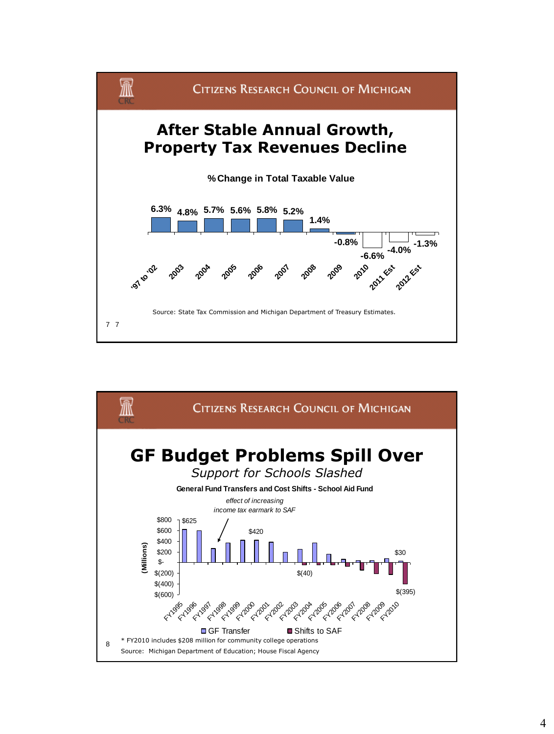

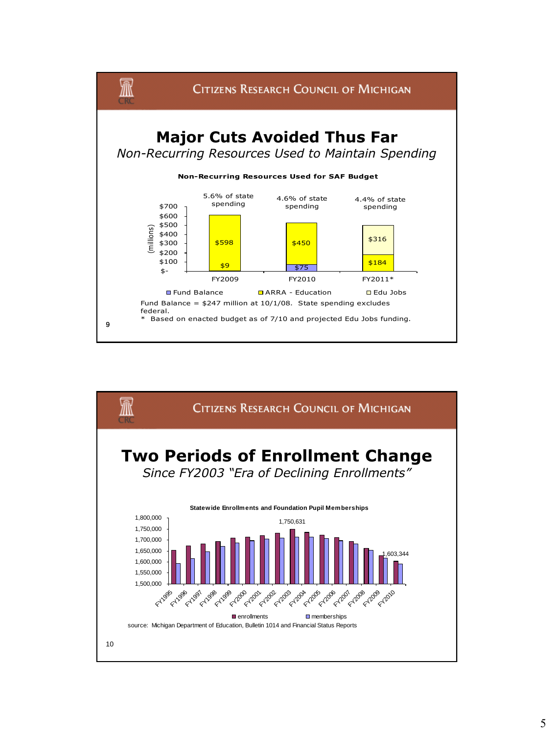

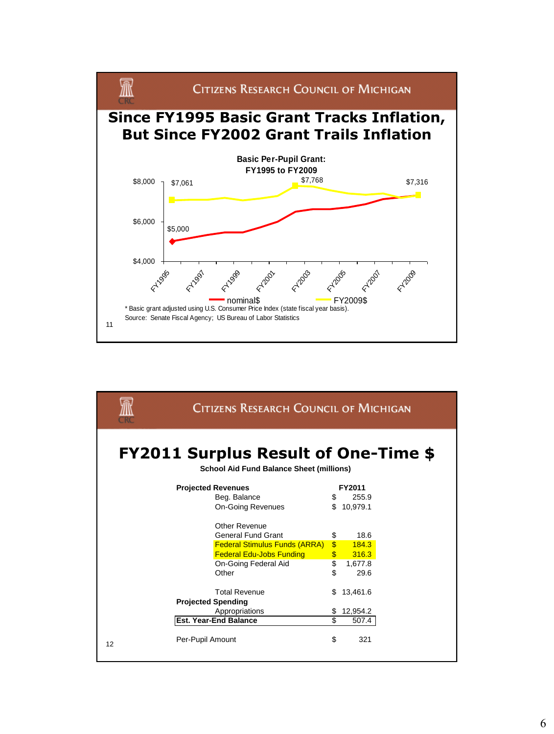

|                                                                                                | <b>CITIZENS RESEARCH COUNCIL OF MICHIGAN</b> |                         |                 |  |  |  |  |  |
|------------------------------------------------------------------------------------------------|----------------------------------------------|-------------------------|-----------------|--|--|--|--|--|
| <b>FY2011 Surplus Result of One-Time \$</b><br><b>School Aid Fund Balance Sheet (millions)</b> |                                              |                         |                 |  |  |  |  |  |
|                                                                                                | <b>Projected Revenues</b>                    |                         | FY2011          |  |  |  |  |  |
|                                                                                                | Beg. Balance                                 | \$                      | 255.9           |  |  |  |  |  |
|                                                                                                | <b>On-Going Revenues</b>                     | \$                      | 10.979.1        |  |  |  |  |  |
|                                                                                                | Other Revenue                                |                         |                 |  |  |  |  |  |
|                                                                                                | <b>General Fund Grant</b>                    | \$                      | 18.6            |  |  |  |  |  |
|                                                                                                | <b>Federal Stimulus Funds (ARRA)</b>         | $\overline{\mathbb{S}}$ | 184.3           |  |  |  |  |  |
|                                                                                                | <b>Federal Edu-Jobs Funding</b>              | \$<br>$\overline{\$}$   | 316.3           |  |  |  |  |  |
|                                                                                                | On-Going Federal Aid<br>Other                | \$                      | 1,677.8<br>29.6 |  |  |  |  |  |
|                                                                                                | <b>Total Revenue</b>                         | S                       | 13,461.6        |  |  |  |  |  |
|                                                                                                | <b>Projected Spending</b>                    |                         |                 |  |  |  |  |  |
|                                                                                                | Appropriations                               |                         | 12,954.2        |  |  |  |  |  |
|                                                                                                | <b>Est. Year-End Balance</b>                 | \$.                     | 507.4           |  |  |  |  |  |
| 12                                                                                             | Per-Pupil Amount                             | \$                      | 321             |  |  |  |  |  |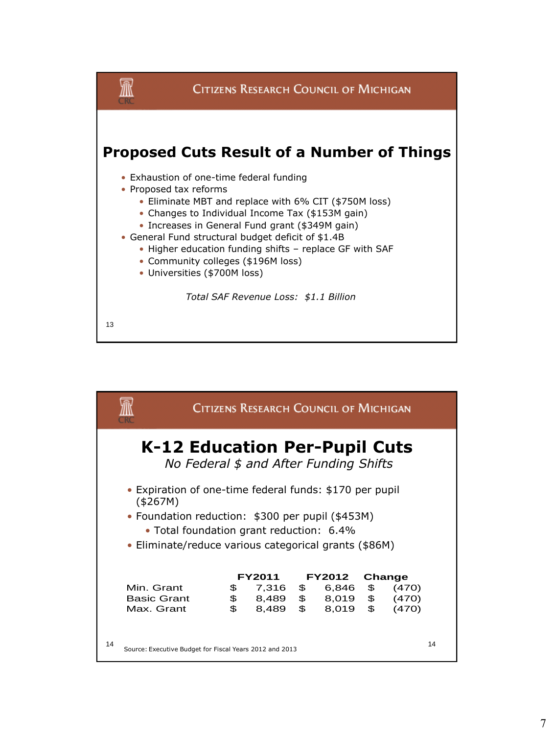

|                                                                                                                                                                                                                              | <b>CITIZENS RESEARCH COUNCIL OF MICHIGAN</b>            |    |               |                |               |    |        |    |  |
|------------------------------------------------------------------------------------------------------------------------------------------------------------------------------------------------------------------------------|---------------------------------------------------------|----|---------------|----------------|---------------|----|--------|----|--|
| K-12 Education Per-Pupil Cuts<br>No Federal \$ and After Funding Shifts                                                                                                                                                      |                                                         |    |               |                |               |    |        |    |  |
| • Expiration of one-time federal funds: \$170 per pupil<br>(\$267M)<br>• Foundation reduction: \$300 per pupil (\$453M)<br>• Total foundation grant reduction: 6.4%<br>• Eliminate/reduce various categorical grants (\$86M) |                                                         |    |               |                |               |    |        |    |  |
|                                                                                                                                                                                                                              |                                                         |    | <b>FY2011</b> |                | <b>FY2012</b> |    | Change |    |  |
| Min. Grant                                                                                                                                                                                                                   |                                                         | \$ | 7,316         | $\mathfrak{S}$ | 6,846         | \$ | (470)  |    |  |
| <b>Basic Grant</b>                                                                                                                                                                                                           |                                                         | \$ | 8,489         | $\frac{1}{2}$  | 8,019         | \$ | (470)  |    |  |
| Max. Grant                                                                                                                                                                                                                   |                                                         | \$ | 8,489         | $\mathfrak{S}$ | 8,019         | \$ | (470)  |    |  |
| 14                                                                                                                                                                                                                           | Source: Executive Budget for Fiscal Years 2012 and 2013 |    |               |                |               |    |        | 14 |  |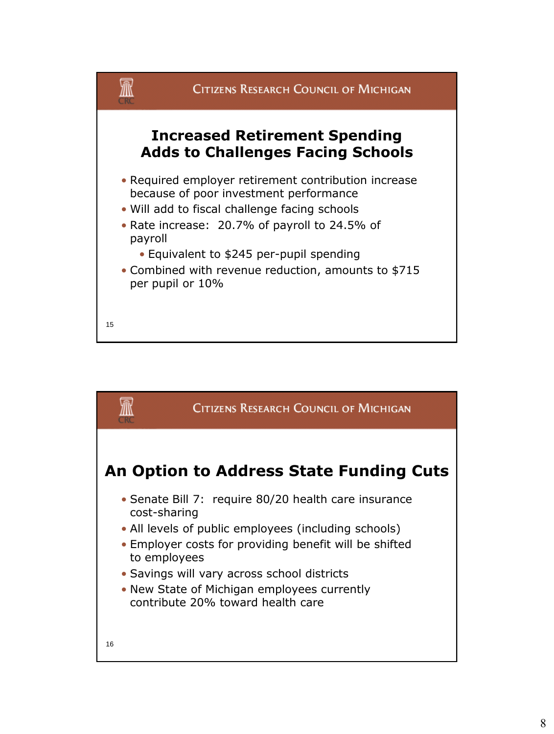